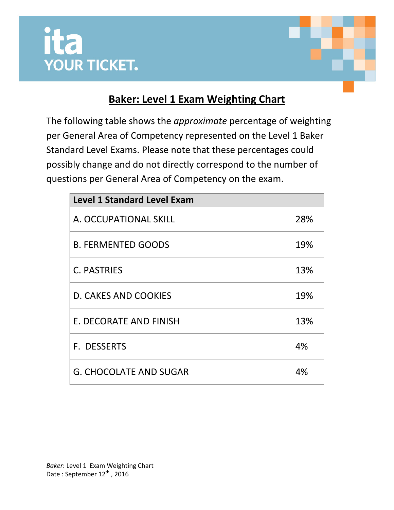



## **Baker: Level 1 Exam Weighting Chart**

The following table shows the *approximate* percentage of weighting per General Area of Competency represented on the Level 1 Baker Standard Level Exams. Please note that these percentages could possibly change and do not directly correspond to the number of questions per General Area of Competency on the exam.

| <b>Level 1 Standard Level Exam</b> |     |
|------------------------------------|-----|
| A. OCCUPATIONAL SKILL              | 28% |
| <b>B. FERMENTED GOODS</b>          | 19% |
| C. PASTRIES                        | 13% |
| <b>D. CAKES AND COOKIES</b>        | 19% |
| E. DECORATE AND FINISH             | 13% |
| <b>F. DESSERTS</b>                 | 4%  |
| <b>G. CHOCOLATE AND SUGAR</b>      | 4%  |